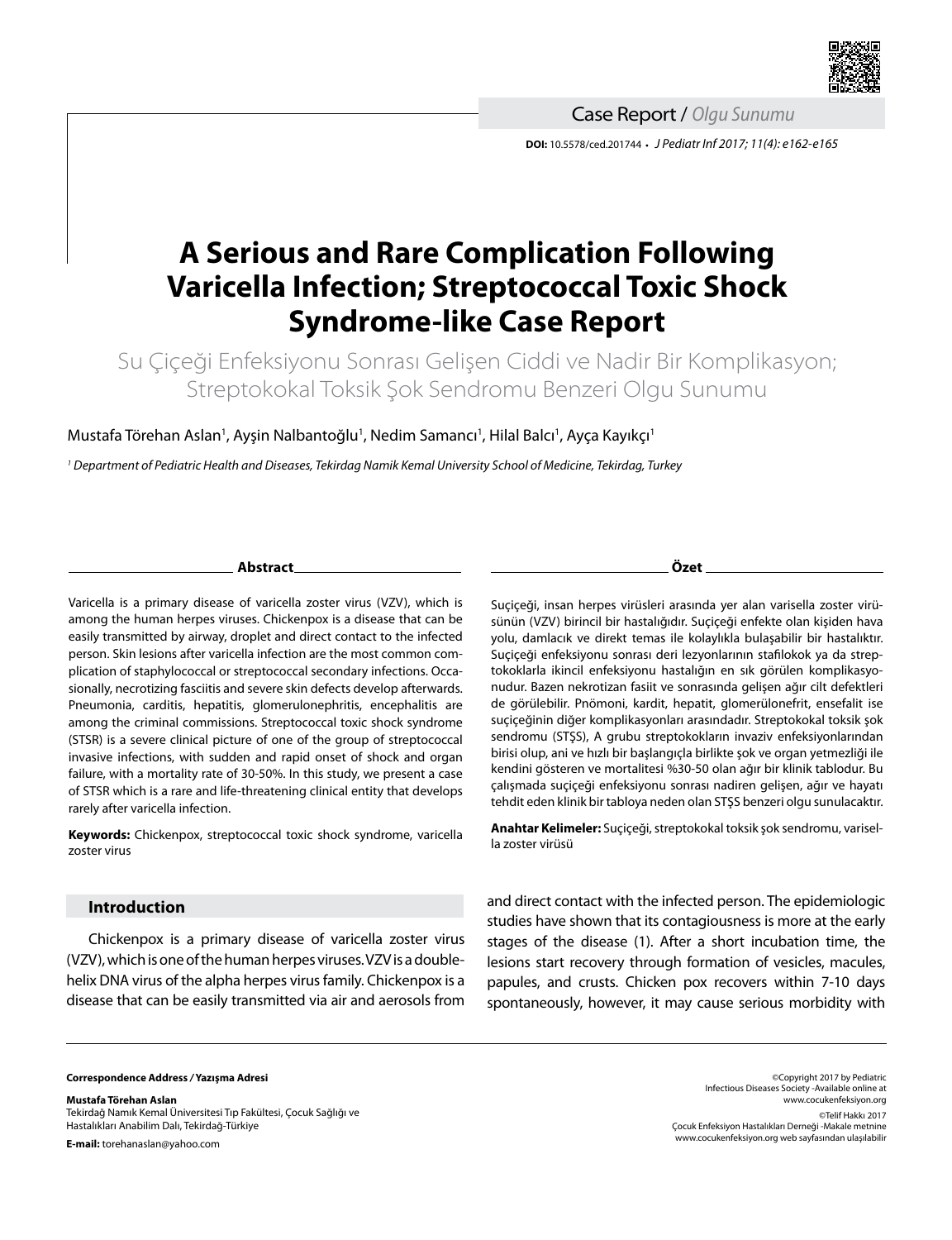

**DOI:** 10.5578/ced.201744 **•** *J Pediatr Inf 2017; 11(4): e162-e165* Case Report / *Olgu Sunumu*

# **A Serious and Rare Complication Following Varicella Infection; Streptococcal Toxic Shock Syndrome-like Case Report**

Su Çiçeği Enfeksiyonu Sonrası Gelişen Ciddi ve Nadir Bir Komplikasyon; Streptokokal Toksik Şok Sendromu Benzeri Olgu Sunumu

Mustafa Törehan Aslan<sup>ı</sup>, Ayşin Nalbantoğlu<sup>ı</sup>, Nedim Samancı<sup>ı</sup>, Hilal Balcı<sup>ı</sup>, Ayça Kayıkçı<sup>ı</sup>

*1 Department of Pediatric Health and Diseases, Tekirdag Namik Kemal University School of Medicine, Tekirdag, Turkey*

## **Abstract**

Varicella is a primary disease of varicella zoster virus (VZV), which is among the human herpes viruses. Chickenpox is a disease that can be easily transmitted by airway, droplet and direct contact to the infected person. Skin lesions after varicella infection are the most common complication of staphylococcal or streptococcal secondary infections. Occasionally, necrotizing fasciitis and severe skin defects develop afterwards. Pneumonia, carditis, hepatitis, glomerulonephritis, encephalitis are among the criminal commissions. Streptococcal toxic shock syndrome (STSR) is a severe clinical picture of one of the group of streptococcal invasive infections, with sudden and rapid onset of shock and organ failure, with a mortality rate of 30-50%. In this study, we present a case of STSR which is a rare and life-threatening clinical entity that develops rarely after varicella infection.

**Keywords:** Chickenpox, streptococcal toxic shock syndrome, varicella zoster virus

# **Introduction**

Chickenpox is a primary disease of varicella zoster virus (VZV), which is one of the human herpes viruses. VZV is a doublehelix DNA virus of the alpha herpes virus family. Chickenpox is a disease that can be easily transmitted via air and aerosols from **Özet**

Suçiçeği, insan herpes virüsleri arasında yer alan varisella zoster virüsünün (VZV) birincil bir hastalığıdır. Suçiçeği enfekte olan kişiden hava yolu, damlacık ve direkt temas ile kolaylıkla bulaşabilir bir hastalıktır. Suçiçeği enfeksiyonu sonrası deri lezyonlarının stafilokok ya da streptokoklarla ikincil enfeksiyonu hastalığın en sık görülen komplikasyonudur. Bazen nekrotizan fasiit ve sonrasında gelişen ağır cilt defektleri de görülebilir. Pnömoni, kardit, hepatit, glomerülonefrit, ensefalit ise suçiçeğinin diğer komplikasyonları arasındadır. Streptokokal toksik şok sendromu (STŞS), A grubu streptokokların invaziv enfeksiyonlarından birisi olup, ani ve hızlı bir başlangıçla birlikte şok ve organ yetmezliği ile kendini gösteren ve mortalitesi %30-50 olan ağır bir klinik tablodur. Bu çalışmada suçiçeği enfeksiyonu sonrası nadiren gelişen, ağır ve hayatı tehdit eden klinik bir tabloya neden olan STŞS benzeri olgu sunulacaktır.

**Anahtar Kelimeler:** Suçiçeği, streptokokal toksik şok sendromu, varisella zoster virüsü

and direct contact with the infected person. The epidemiologic studies have shown that its contagiousness is more at the early stages of the disease (1). After a short incubation time, the lesions start recovery through formation of vesicles, macules, papules, and crusts. Chicken pox recovers within 7-10 days spontaneously, however, it may cause serious morbidity with

#### **Correspondence Address** */* **Yazışma Adresi**

**Mustafa Törehan Aslan** Tekirdağ Namık Kemal Üniversitesi Tıp Fakültesi, Çocuk Sağlığı ve Hastalıkları Anabilim Dalı, Tekirdağ-Türkiye

**E-mail:** torehanaslan@yahoo.com

©Copyright 2017 by Pediatric Infectious Diseases Society -Available online at www.cocukenfeksiyon.org ©Telif Hakkı 2017 Çocuk Enfeksiyon Hastalıkları Derneği -Makale metnine www.cocukenfeksiyon.org web sayfasından ulaşılabilir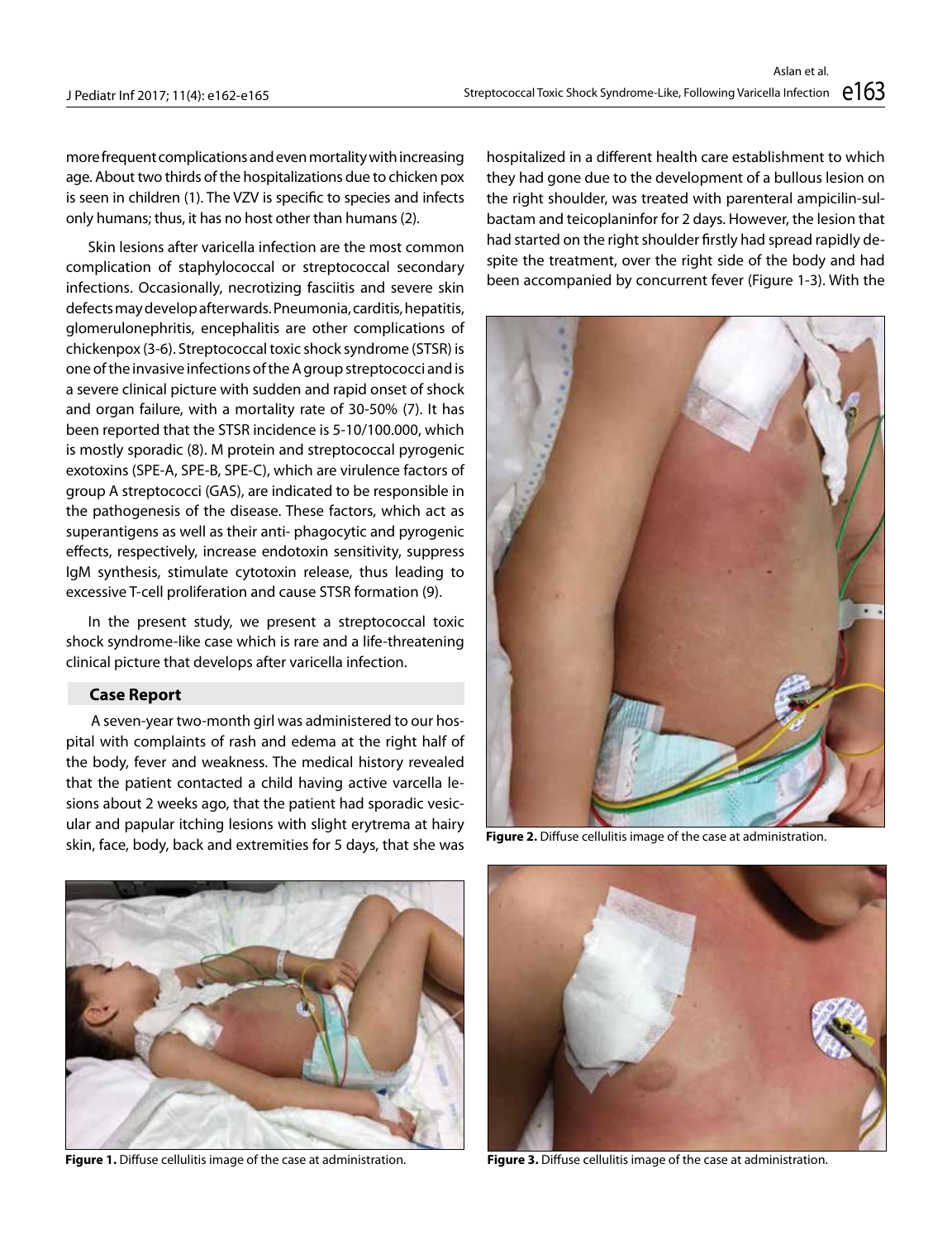more frequent complications and even mortality with increasing age. About two thirds of the hospitalizations due to chicken pox is seen in children (1). The VZV is specific to species and infects only humans; thus, it has no host other than humans (2).

Skin lesions after varicella infection are the most common complication of staphylococcal or streptococcal secondary infections. Occasionally, necrotizing fasciitis and severe skin defects may develop afterwards. Pneumonia, carditis, hepatitis, glomerulonephritis, encephalitis are other complications of chickenpox (3-6). Streptococcal toxic shock syndrome (STSR) is one of the invasive infections of the A group streptococci and is a severe clinical picture with sudden and rapid onset of shock and organ failure, with a mortality rate of 30-50% (7). It has been reported that the STSR incidence is 5-10/100.000, which is mostly sporadic (8). M protein and streptococcal pyrogenic exotoxins (SPE-A, SPE-B, SPE-C), which are virulence factors of group A streptococci (GAS), are indicated to be responsible in the pathogenesis of the disease. These factors, which act as superantigens as well as their anti- phagocytic and pyrogenic effects, respectively, increase endotoxin sensitivity, suppress IgM synthesis, stimulate cytotoxin release, thus leading to excessive T-cell proliferation and cause STSR formation (9).

In the present study, we present a streptococcal toxic shock syndrome-like case which is rare and a life-threatening clinical picture that develops after varicella infection.

## **Case Report**

 A seven-year two-month girl was administered to our hospital with complaints of rash and edema at the right half of the body, fever and weakness. The medical history revealed that the patient contacted a child having active varcella lesions about 2 weeks ago, that the patient had sporadic vesicular and papular itching lesions with slight erytrema at hairy skin, face, body, back and extremities for 5 days, that she was

hospitalized in a different health care establishment to which they had gone due to the development of a bullous lesion on the right shoulder, was treated with parenteral ampicilin-sulbactam and teicoplaninfor for 2 days. However, the lesion that had started on the right shoulder firstly had spread rapidly despite the treatment, over the right side of the body and had been accompanied by concurrent fever (Figure 1-3). With the



**Figure 2.** Diffuse cellulitis image of the case at administration.



**Figure 1.** Diffuse cellulitis image of the case at administration.



**Figure 3.** Diffuse cellulitis image of the case at administration.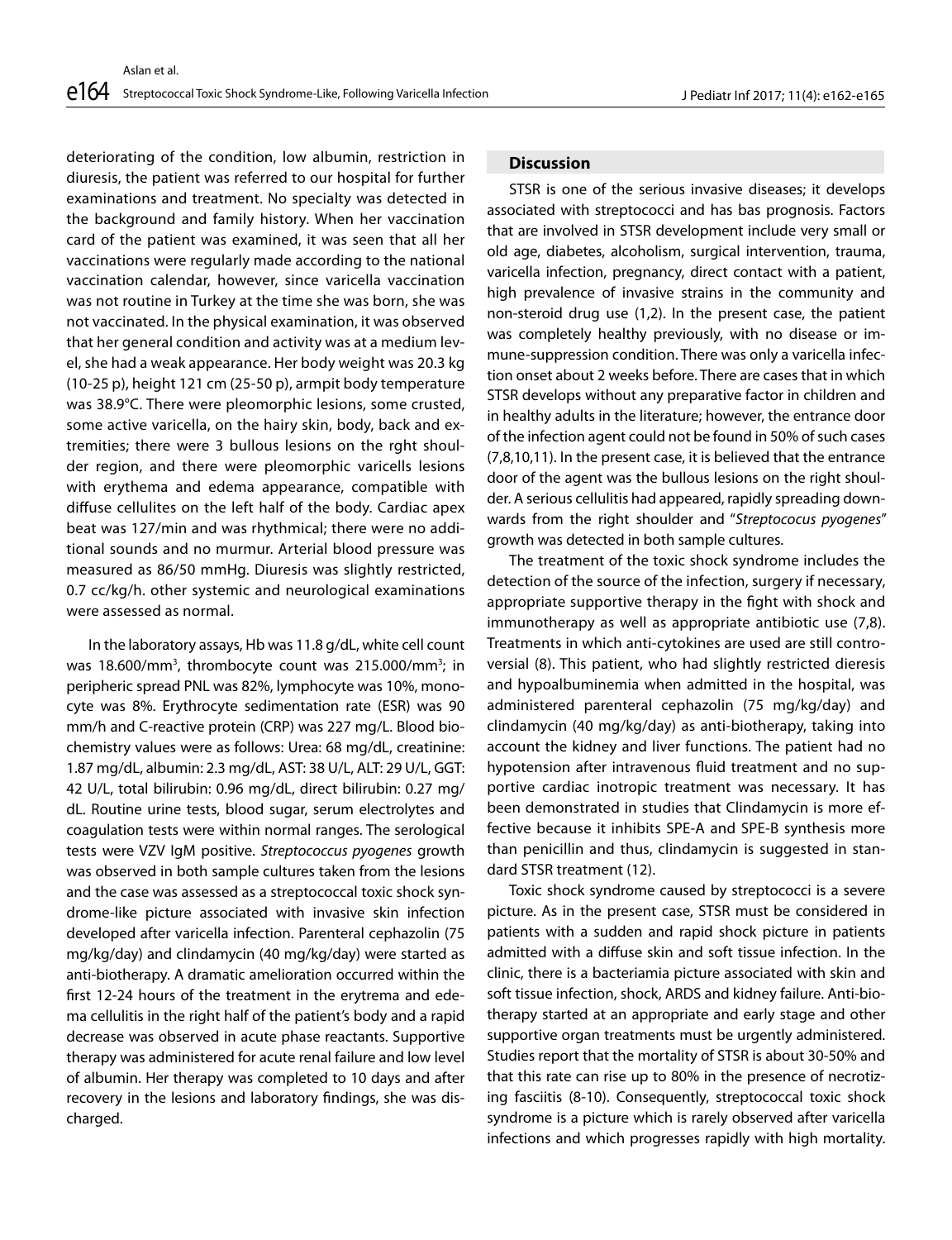deteriorating of the condition, low albumin, restriction in diuresis, the patient was referred to our hospital for further examinations and treatment. No specialty was detected in the background and family history. When her vaccination card of the patient was examined, it was seen that all her vaccinations were regularly made according to the national vaccination calendar, however, since varicella vaccination was not routine in Turkey at the time she was born, she was not vaccinated. In the physical examination, it was observed that her general condition and activity was at a medium level, she had a weak appearance. Her body weight was 20.3 kg (10-25 p), height 121 cm (25-50 p), armpit body temperature was 38.9°C. There were pleomorphic lesions, some crusted, some active varicella, on the hairy skin, body, back and extremities; there were 3 bullous lesions on the rght shoulder region, and there were pleomorphic varicells lesions with erythema and edema appearance, compatible with diffuse cellulites on the left half of the body. Cardiac apex beat was 127/min and was rhythmical; there were no additional sounds and no murmur. Arterial blood pressure was measured as 86/50 mmHg. Diuresis was slightly restricted, 0.7 cc/kg/h. other systemic and neurological examinations were assessed as normal.

In the laboratory assays, Hb was 11.8 g/dL, white cell count was 18.600/mm<sup>3</sup>, thrombocyte count was 215.000/mm<sup>3</sup>; in peripheric spread PNL was 82%, lymphocyte was 10%, monocyte was 8%. Erythrocyte sedimentation rate (ESR) was 90 mm/h and C-reactive protein (CRP) was 227 mg/L. Blood biochemistry values were as follows: Urea: 68 mg/dL, creatinine: 1.87 mg/dL, albumin: 2.3 mg/dL, AST: 38 U/L, ALT: 29 U/L, GGT: 42 U/L, total bilirubin: 0.96 mg/dL, direct bilirubin: 0.27 mg/ dL. Routine urine tests, blood sugar, serum electrolytes and coagulation tests were within normal ranges. The serological tests were VZV IgM positive. *Streptococcus pyogenes* growth was observed in both sample cultures taken from the lesions and the case was assessed as a streptococcal toxic shock syndrome-like picture associated with invasive skin infection developed after varicella infection. Parenteral cephazolin (75 mg/kg/day) and clindamycin (40 mg/kg/day) were started as anti-biotherapy. A dramatic amelioration occurred within the first 12-24 hours of the treatment in the erytrema and edema cellulitis in the right half of the patient's body and a rapid decrease was observed in acute phase reactants. Supportive therapy was administered for acute renal failure and low level of albumin. Her therapy was completed to 10 days and after recovery in the lesions and laboratory findings, she was discharged.

## **Discussion**

STSR is one of the serious invasive diseases; it develops associated with streptococci and has bas prognosis. Factors that are involved in STSR development include very small or old age, diabetes, alcoholism, surgical intervention, trauma, varicella infection, pregnancy, direct contact with a patient, high prevalence of invasive strains in the community and non-steroid drug use (1,2). In the present case, the patient was completely healthy previously, with no disease or immune-suppression condition. There was only a varicella infection onset about 2 weeks before. There are cases that in which STSR develops without any preparative factor in children and in healthy adults in the literature; however, the entrance door of the infection agent could not be found in 50% of such cases (7,8,10,11). In the present case, it is believed that the entrance door of the agent was the bullous lesions on the right shoulder. A serious cellulitis had appeared, rapidly spreading downwards from the right shoulder and "*Streptococus pyogenes*" growth was detected in both sample cultures.

The treatment of the toxic shock syndrome includes the detection of the source of the infection, surgery if necessary, appropriate supportive therapy in the fight with shock and immunotherapy as well as appropriate antibiotic use (7,8). Treatments in which anti-cytokines are used are still controversial (8). This patient, who had slightly restricted dieresis and hypoalbuminemia when admitted in the hospital, was administered parenteral cephazolin (75 mg/kg/day) and clindamycin (40 mg/kg/day) as anti-biotherapy, taking into account the kidney and liver functions. The patient had no hypotension after intravenous fluid treatment and no supportive cardiac inotropic treatment was necessary. It has been demonstrated in studies that Clindamycin is more effective because it inhibits SPE-A and SPE-B synthesis more than penicillin and thus, clindamycin is suggested in standard STSR treatment (12).

Toxic shock syndrome caused by streptococci is a severe picture. As in the present case, STSR must be considered in patients with a sudden and rapid shock picture in patients admitted with a diffuse skin and soft tissue infection. In the clinic, there is a bacteriamia picture associated with skin and soft tissue infection, shock, ARDS and kidney failure. Anti-biotherapy started at an appropriate and early stage and other supportive organ treatments must be urgently administered. Studies report that the mortality of STSR is about 30-50% and that this rate can rise up to 80% in the presence of necrotizing fasciitis (8-10). Consequently, streptococcal toxic shock syndrome is a picture which is rarely observed after varicella infections and which progresses rapidly with high mortality.